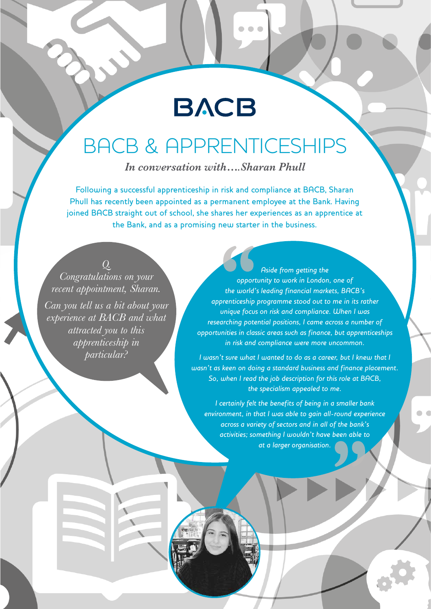# **BACB**

 $\bullet$   $\bullet$   $\bullet$ 

## BACB & APPRENTICESHIPS

*In conversation with….Sharan Phull*

Following a successful apprenticeship in risk and compliance at BACB, Sharan Phull has recently been appointed as a permanent employee at the Bank. Having joined BACB straight out of school, she shares her experiences as an apprentice at the Bank, and as a promising new starter in the business.

### *Q.*

*Congratulations on your recent appointment, Sharan. Can you tell us a bit about your experience at BACB and what attracted you to this apprenticeship in particular?*

*Aside from getting the opportunity to work in London, one of the world's leading financial markets, BACB's apprenticeship programme stood out to me in its rather unique focus on risk and compliance. When I was researching potential positions, I came across a number of opportunities in classic areas such as finance, but apprenticeships in risk and compliance were more uncommon.* 

*I wasn't sure what I wanted to do as a career, but I knew that I wasn't as keen on doing a standard business and finance placement. So, when I read the job description for this role at BACB, the specialism appealed to me.*

*I certainly felt the benefits of being in a smaller bank environment, in that I was able to gain all-round experience across a variety of sectors and in all of the bank's activities; something I wouldn't have been able to at a larger organisation.*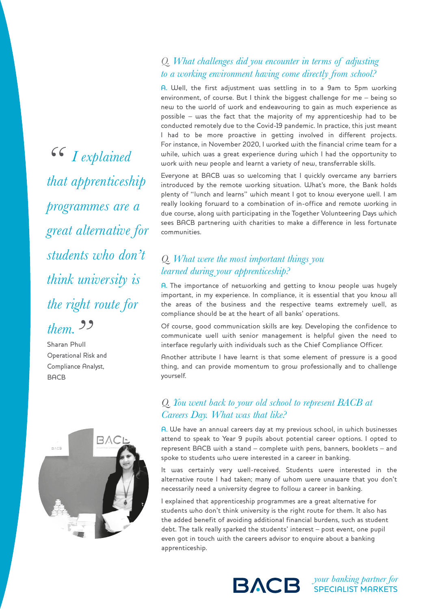$66$  *I explained that apprenticeship programmes are a great alternative for students who don't think university is the right route for* 

*them. "* Sharan Phull Operational Risk and Compliance Analyst, **BACB** 



#### *Q. What challenges did you encounter in terms of adjusting to a working environment having come directly from school?*

A. Well, the first adjustment was settling in to a 9am to 5pm working environment, of course. But I think the biggest challenge for me – being so new to the world of work and endeavouring to gain as much experience as possible – was the fact that the majority of my apprenticeship had to be conducted remotely due to the Covid-19 pandemic. In practice, this just meant I had to be more proactive in getting involved in different projects. For instance, in November 2020, I worked with the financial crime team for a while, which was a great experience during which I had the opportunity to work with new people and learnt a variety of new, transferrable skills.

Everyone at BACB was so welcoming that I quickly overcame any barriers introduced by the remote working situation. What's more, the Bank holds plenty of "lunch and learns" which meant I got to know everyone well. I am really looking forward to a combination of in-office and remote working in due course, along with participating in the Together Volunteering Days which sees BACB partnering with charities to make a difference in less fortunate communities.

#### *Q. What were the most important things you learned during your apprenticeship?*

A. The importance of networking and getting to know people was hugely important, in my experience. In compliance, it is essential that you know all the areas of the business and the respective teams extremely well, as compliance should be at the heart of all banks' operations.

Of course, good communication skills are key. Developing the confidence to communicate well with senior management is helpful given the need to interface regularly with individuals such as the Chief Compliance Officer.

Another attribute I have learnt is that some element of pressure is a good thing, and can provide momentum to grow professionally and to challenge yourself.

#### *Q. You went back to your old school to represent BACB at Careers Day. What was that like?*

A. We have an annual careers day at my previous school, in which businesses attend to speak to Year 9 pupils about potential career options. I opted to represent BACB with a stand – complete with pens, banners, booklets – and spoke to students who were interested in a career in banking.

It was certainly very well-received. Students were interested in the alternative route I had taken; many of whom were unaware that you don't necessarily need a university degree to follow a career in banking.

I explained that apprenticeship programmes are a great alternative for students who don't think university is the right route for them. It also has the added benefit of avoiding additional financial burdens, such as student debt. The talk really sparked the students' interest – post event, one pupil even got in touch with the careers advisor to enquire about a banking apprenticeship.



*your banking partner for* SPECIALIST MARKETS